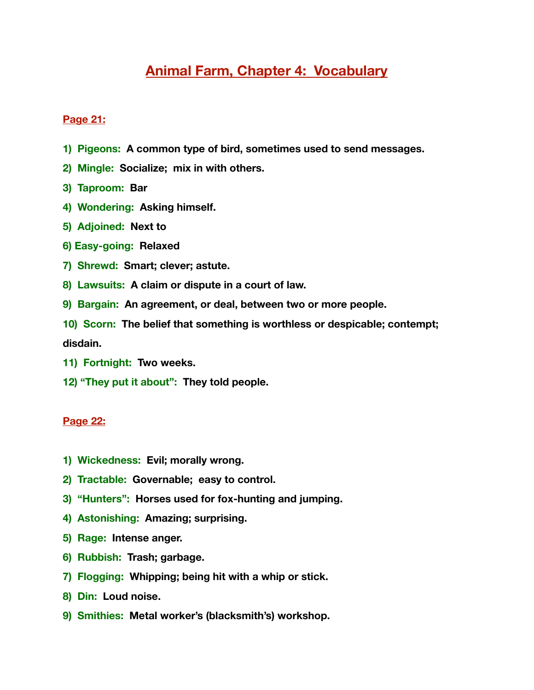# **Animal Farm, Chapter 4: Vocabulary**

# **Page 21:**

- **1) Pigeons: A common type of bird, sometimes used to send messages.**
- **2) Mingle: Socialize; mix in with others.**
- **3) Taproom: Bar**
- **4) Wondering: Asking himself.**
- **5) Adjoined: Next to**
- **6) Easy-going: Relaxed**
- **7) Shrewd: Smart; clever; astute.**
- **8) Lawsuits: A claim or dispute in a court of law.**
- **9) Bargain: An agreement, or deal, between two or more people.**
- **10) Scorn: The belief that something is worthless or despicable; contempt; disdain.**
- **11) Fortnight: Two weeks.**
- **12) "They put it about": They told people.**

### **Page 22:**

- **1) Wickedness: Evil; morally wrong.**
- **2) Tractable: Governable; easy to control.**
- **3) "Hunters": Horses used for fox-hunting and jumping.**
- **4) Astonishing: Amazing; surprising.**
- **5) Rage: Intense anger.**
- **6) Rubbish: Trash; garbage.**
- **7) Flogging: Whipping; being hit with a whip or stick.**
- **8) Din: Loud noise.**
- **9) Smithies: Metal worker's (blacksmith's) workshop.**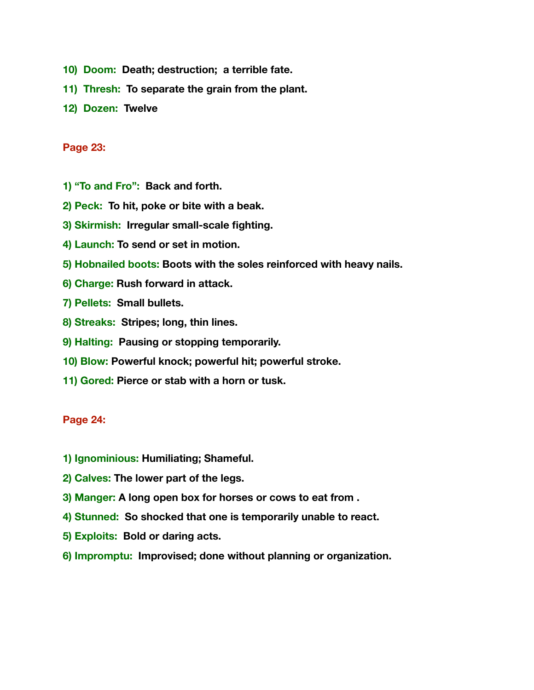- **10) Doom: Death; destruction; a terrible fate.**
- **11) Thresh: To separate the grain from the plant.**
- **12) Dozen: Twelve**

# **Page 23:**

- **1) "To and Fro": Back and forth.**
- **2) Peck: To hit, poke or bite with a beak.**
- **3) Skirmish: Irregular small-scale fighting.**
- **4) Launch: To send or set in motion.**
- **5) Hobnailed boots: Boots with the soles reinforced with heavy nails.**
- **6) Charge: Rush forward in attack.**
- **7) Pellets: Small bullets.**
- **8) Streaks: Stripes; long, thin lines.**
- **9) Halting: Pausing or stopping temporarily.**
- **10) Blow: Powerful knock; powerful hit; powerful stroke.**
- **11) Gored: Pierce or stab with a horn or tusk.**

# **Page 24:**

- **1) Ignominious: Humiliating; Shameful.**
- **2) Calves: The lower part of the legs.**
- **3) Manger: A long open box for horses or cows to eat from .**
- **4) Stunned: So shocked that one is temporarily unable to react.**
- **5) Exploits: Bold or daring acts.**
- **6) Impromptu: Improvised; done without planning or organization.**